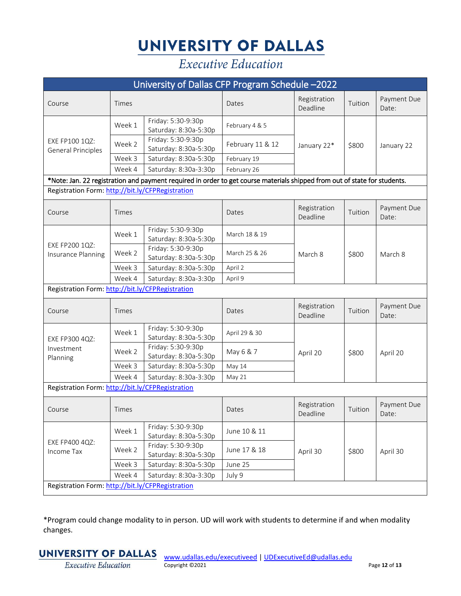## UNIVERSITY OF DALLAS

### **Executive Education**

| University of Dallas CFP Program Schedule -2022                                                                           |              |                                             |                  |                          |         |                      |  |  |  |  |
|---------------------------------------------------------------------------------------------------------------------------|--------------|---------------------------------------------|------------------|--------------------------|---------|----------------------|--|--|--|--|
| Course                                                                                                                    | <b>Times</b> |                                             | Dates            | Registration<br>Deadline | Tuition | Payment Due<br>Date: |  |  |  |  |
| EXE FP100 1QZ:<br><b>General Principles</b>                                                                               | Week 1       | Friday: 5:30-9:30p<br>Saturday: 8:30a-5:30p | February 4 & 5   | January 22*              | \$800   | January 22           |  |  |  |  |
|                                                                                                                           | Week 2       | Friday: 5:30-9:30p<br>Saturday: 8:30a-5:30p | February 11 & 12 |                          |         |                      |  |  |  |  |
|                                                                                                                           | Week 3       | Saturday: 8:30a-5:30p                       | February 19      |                          |         |                      |  |  |  |  |
|                                                                                                                           | Week 4       | Saturday: 8:30a-3:30p                       | February 26      |                          |         |                      |  |  |  |  |
| *Note: Jan. 22 registration and payment required in order to get course materials shipped from out of state for students. |              |                                             |                  |                          |         |                      |  |  |  |  |
| Registration Form: http://bit.ly/CFPRegistration                                                                          |              |                                             |                  |                          |         |                      |  |  |  |  |
| Course                                                                                                                    | Times        |                                             | Dates            | Registration<br>Deadline | Tuition | Payment Due<br>Date: |  |  |  |  |
| EXE FP200 1QZ:<br>Insurance Planning                                                                                      | Week 1       | Friday: 5:30-9:30p<br>Saturday: 8:30a-5:30p | March 18 & 19    | March 8                  | \$800   | March 8              |  |  |  |  |
|                                                                                                                           | Week 2       | Friday: 5:30-9:30p<br>Saturday: 8:30a-5:30p | March 25 & 26    |                          |         |                      |  |  |  |  |
|                                                                                                                           | Week 3       | Saturday: 8:30a-5:30p                       | April 2          |                          |         |                      |  |  |  |  |
|                                                                                                                           | Week 4       | Saturday: 8:30a-3:30p                       | April 9          |                          |         |                      |  |  |  |  |
| Registration Form: http://bit.ly/CFPRegistration                                                                          |              |                                             |                  |                          |         |                      |  |  |  |  |
| Course                                                                                                                    | Times        |                                             | Dates            | Registration<br>Deadline | Tuition | Payment Due<br>Date: |  |  |  |  |
| EXE FP300 4QZ:<br>Investment<br>Planning                                                                                  | Week 1       | Friday: 5:30-9:30p<br>Saturday: 8:30a-5:30p | April 29 & 30    | April 20                 | \$800   | April 20             |  |  |  |  |
|                                                                                                                           | Week 2       | Friday: 5:30-9:30p<br>Saturday: 8:30a-5:30p | May 6 & 7        |                          |         |                      |  |  |  |  |
|                                                                                                                           | Week 3       | Saturday: 8:30a-5:30p                       | May 14           |                          |         |                      |  |  |  |  |
|                                                                                                                           | Week 4       | Saturday: 8:30a-3:30p                       | May 21           |                          |         |                      |  |  |  |  |
| Registration Form: http://bit.ly/CFPRegistration                                                                          |              |                                             |                  |                          |         |                      |  |  |  |  |
| Course                                                                                                                    | Times        |                                             | Dates            | Registration<br>Deadline | Tuition | Payment Due<br>Date: |  |  |  |  |
| EXE FP400 4QZ:<br>Income Tax                                                                                              | Week 1       | Friday: 5:30-9:30p<br>Saturday: 8:30a-5:30p | June 10 & 11     | April 30                 | \$800   | April 30             |  |  |  |  |
|                                                                                                                           | Week 2       | Friday: 5:30-9:30p<br>Saturday: 8:30a-5:30p | June 17 & 18     |                          |         |                      |  |  |  |  |
|                                                                                                                           | Week 3       | Saturday: 8:30a-5:30p                       | June 25          |                          |         |                      |  |  |  |  |
|                                                                                                                           | Week 4       | Saturday: 8:30a-3:30p                       | July 9           |                          |         |                      |  |  |  |  |
| Registration Form: http://bit.ly/CFPRegistration                                                                          |              |                                             |                  |                          |         |                      |  |  |  |  |

\*Program could change modality to in person. UD will work with students to determine if and when modality changes.

#### UNIVERSITY OF DALLAS

Executive Education